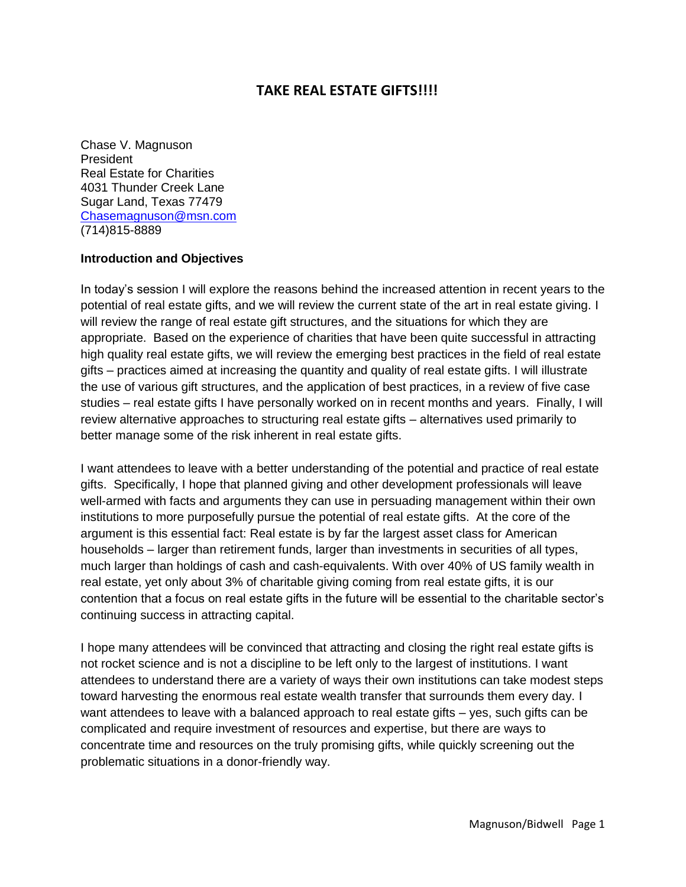# **TAKE REAL ESTATE GIFTS!!!!**

Chase V. Magnuson President Real Estate for Charities 4031 Thunder Creek Lane Sugar Land, Texas 77479 [Chasemagnuson@msn.com](mailto:Chasemagnuson@msn.com) (714)815-8889

#### **Introduction and Objectives**

In today's session I will explore the reasons behind the increased attention in recent years to the potential of real estate gifts, and we will review the current state of the art in real estate giving. I will review the range of real estate gift structures, and the situations for which they are appropriate. Based on the experience of charities that have been quite successful in attracting high quality real estate gifts, we will review the emerging best practices in the field of real estate gifts – practices aimed at increasing the quantity and quality of real estate gifts. I will illustrate the use of various gift structures, and the application of best practices, in a review of five case studies – real estate gifts I have personally worked on in recent months and years. Finally, I will review alternative approaches to structuring real estate gifts – alternatives used primarily to better manage some of the risk inherent in real estate gifts.

I want attendees to leave with a better understanding of the potential and practice of real estate gifts. Specifically, I hope that planned giving and other development professionals will leave well-armed with facts and arguments they can use in persuading management within their own institutions to more purposefully pursue the potential of real estate gifts. At the core of the argument is this essential fact: Real estate is by far the largest asset class for American households – larger than retirement funds, larger than investments in securities of all types, much larger than holdings of cash and cash-equivalents. With over 40% of US family wealth in real estate, yet only about 3% of charitable giving coming from real estate gifts, it is our contention that a focus on real estate gifts in the future will be essential to the charitable sector's continuing success in attracting capital.

I hope many attendees will be convinced that attracting and closing the right real estate gifts is not rocket science and is not a discipline to be left only to the largest of institutions. I want attendees to understand there are a variety of ways their own institutions can take modest steps toward harvesting the enormous real estate wealth transfer that surrounds them every day. I want attendees to leave with a balanced approach to real estate gifts – yes, such gifts can be complicated and require investment of resources and expertise, but there are ways to concentrate time and resources on the truly promising gifts, while quickly screening out the problematic situations in a donor-friendly way.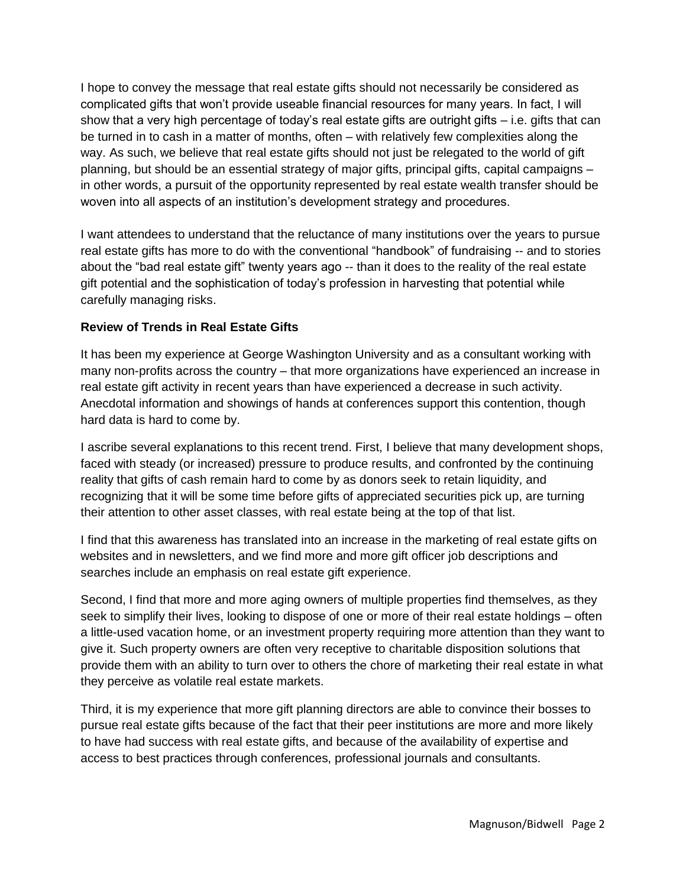I hope to convey the message that real estate gifts should not necessarily be considered as complicated gifts that won't provide useable financial resources for many years. In fact, I will show that a very high percentage of today's real estate gifts are outright gifts – i.e. gifts that can be turned in to cash in a matter of months, often – with relatively few complexities along the way. As such, we believe that real estate gifts should not just be relegated to the world of gift planning, but should be an essential strategy of major gifts, principal gifts, capital campaigns – in other words, a pursuit of the opportunity represented by real estate wealth transfer should be woven into all aspects of an institution's development strategy and procedures.

I want attendees to understand that the reluctance of many institutions over the years to pursue real estate gifts has more to do with the conventional "handbook" of fundraising -- and to stories about the "bad real estate gift" twenty years ago -- than it does to the reality of the real estate gift potential and the sophistication of today's profession in harvesting that potential while carefully managing risks.

## **Review of Trends in Real Estate Gifts**

It has been my experience at George Washington University and as a consultant working with many non-profits across the country – that more organizations have experienced an increase in real estate gift activity in recent years than have experienced a decrease in such activity. Anecdotal information and showings of hands at conferences support this contention, though hard data is hard to come by.

I ascribe several explanations to this recent trend. First, I believe that many development shops, faced with steady (or increased) pressure to produce results, and confronted by the continuing reality that gifts of cash remain hard to come by as donors seek to retain liquidity, and recognizing that it will be some time before gifts of appreciated securities pick up, are turning their attention to other asset classes, with real estate being at the top of that list.

I find that this awareness has translated into an increase in the marketing of real estate gifts on websites and in newsletters, and we find more and more gift officer job descriptions and searches include an emphasis on real estate gift experience.

Second, I find that more and more aging owners of multiple properties find themselves, as they seek to simplify their lives, looking to dispose of one or more of their real estate holdings – often a little-used vacation home, or an investment property requiring more attention than they want to give it. Such property owners are often very receptive to charitable disposition solutions that provide them with an ability to turn over to others the chore of marketing their real estate in what they perceive as volatile real estate markets.

Third, it is my experience that more gift planning directors are able to convince their bosses to pursue real estate gifts because of the fact that their peer institutions are more and more likely to have had success with real estate gifts, and because of the availability of expertise and access to best practices through conferences, professional journals and consultants.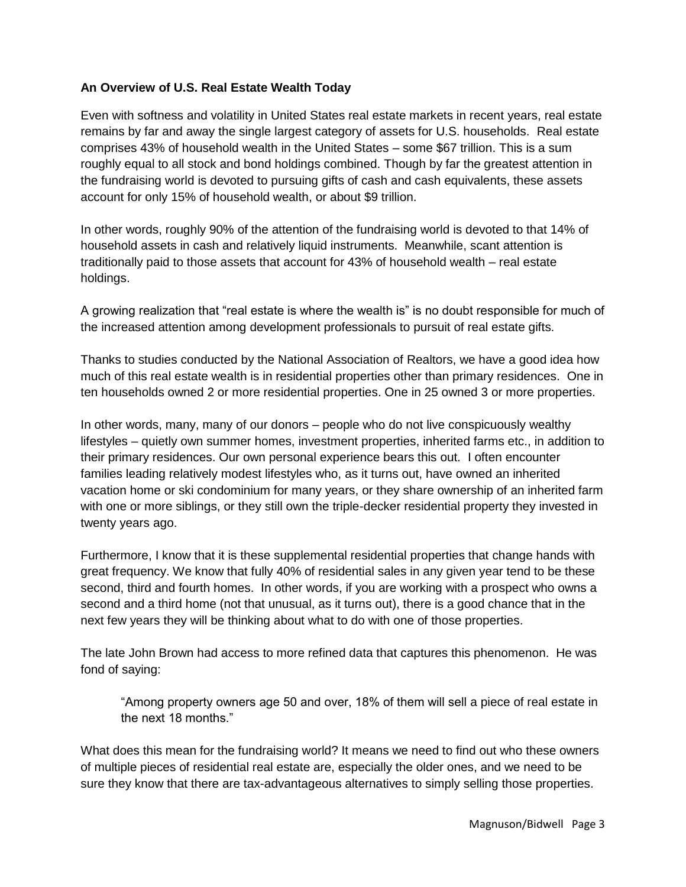#### **An Overview of U.S. Real Estate Wealth Today**

Even with softness and volatility in United States real estate markets in recent years, real estate remains by far and away the single largest category of assets for U.S. households. Real estate comprises 43% of household wealth in the United States – some \$67 trillion. This is a sum roughly equal to all stock and bond holdings combined. Though by far the greatest attention in the fundraising world is devoted to pursuing gifts of cash and cash equivalents, these assets account for only 15% of household wealth, or about \$9 trillion.

In other words, roughly 90% of the attention of the fundraising world is devoted to that 14% of household assets in cash and relatively liquid instruments. Meanwhile, scant attention is traditionally paid to those assets that account for 43% of household wealth – real estate holdings.

A growing realization that "real estate is where the wealth is" is no doubt responsible for much of the increased attention among development professionals to pursuit of real estate gifts.

Thanks to studies conducted by the National Association of Realtors, we have a good idea how much of this real estate wealth is in residential properties other than primary residences. One in ten households owned 2 or more residential properties. One in 25 owned 3 or more properties.

In other words, many, many of our donors – people who do not live conspicuously wealthy lifestyles – quietly own summer homes, investment properties, inherited farms etc., in addition to their primary residences. Our own personal experience bears this out. I often encounter families leading relatively modest lifestyles who, as it turns out, have owned an inherited vacation home or ski condominium for many years, or they share ownership of an inherited farm with one or more siblings, or they still own the triple-decker residential property they invested in twenty years ago.

Furthermore, I know that it is these supplemental residential properties that change hands with great frequency. We know that fully 40% of residential sales in any given year tend to be these second, third and fourth homes. In other words, if you are working with a prospect who owns a second and a third home (not that unusual, as it turns out), there is a good chance that in the next few years they will be thinking about what to do with one of those properties.

The late John Brown had access to more refined data that captures this phenomenon. He was fond of saying:

"Among property owners age 50 and over, 18% of them will sell a piece of real estate in the next 18 months."

What does this mean for the fundraising world? It means we need to find out who these owners of multiple pieces of residential real estate are, especially the older ones, and we need to be sure they know that there are tax-advantageous alternatives to simply selling those properties.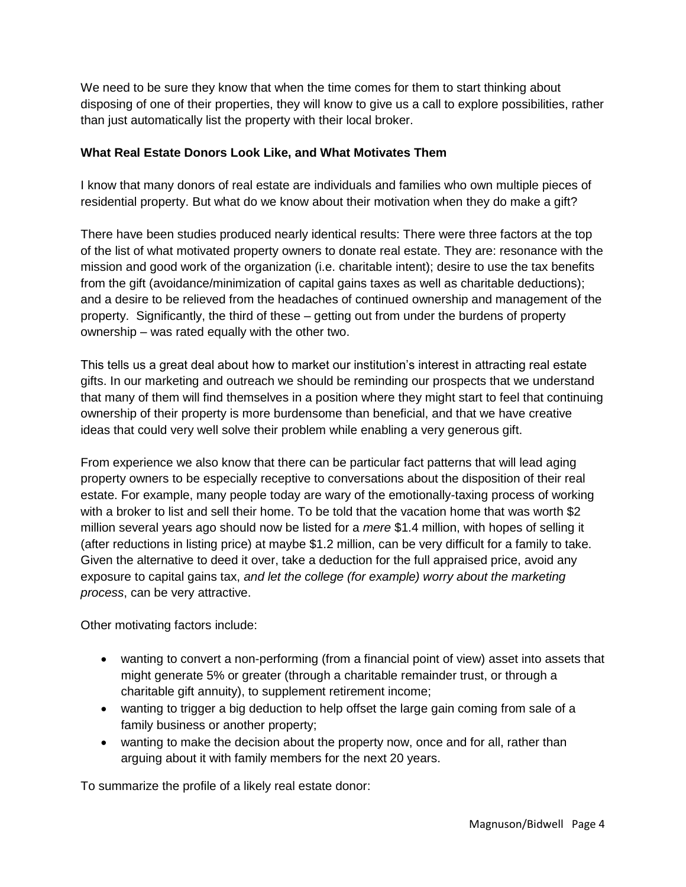We need to be sure they know that when the time comes for them to start thinking about disposing of one of their properties, they will know to give us a call to explore possibilities, rather than just automatically list the property with their local broker.

#### **What Real Estate Donors Look Like, and What Motivates Them**

I know that many donors of real estate are individuals and families who own multiple pieces of residential property. But what do we know about their motivation when they do make a gift?

There have been studies produced nearly identical results: There were three factors at the top of the list of what motivated property owners to donate real estate. They are: resonance with the mission and good work of the organization (i.e. charitable intent); desire to use the tax benefits from the gift (avoidance/minimization of capital gains taxes as well as charitable deductions); and a desire to be relieved from the headaches of continued ownership and management of the property. Significantly, the third of these – getting out from under the burdens of property ownership – was rated equally with the other two.

This tells us a great deal about how to market our institution's interest in attracting real estate gifts. In our marketing and outreach we should be reminding our prospects that we understand that many of them will find themselves in a position where they might start to feel that continuing ownership of their property is more burdensome than beneficial, and that we have creative ideas that could very well solve their problem while enabling a very generous gift.

From experience we also know that there can be particular fact patterns that will lead aging property owners to be especially receptive to conversations about the disposition of their real estate. For example, many people today are wary of the emotionally-taxing process of working with a broker to list and sell their home. To be told that the vacation home that was worth \$2 million several years ago should now be listed for a *mere* \$1.4 million, with hopes of selling it (after reductions in listing price) at maybe \$1.2 million, can be very difficult for a family to take. Given the alternative to deed it over, take a deduction for the full appraised price, avoid any exposure to capital gains tax, *and let the college (for example) worry about the marketing process*, can be very attractive.

Other motivating factors include:

- wanting to convert a non-performing (from a financial point of view) asset into assets that might generate 5% or greater (through a charitable remainder trust, or through a charitable gift annuity), to supplement retirement income;
- wanting to trigger a big deduction to help offset the large gain coming from sale of a family business or another property;
- wanting to make the decision about the property now, once and for all, rather than arguing about it with family members for the next 20 years.

To summarize the profile of a likely real estate donor: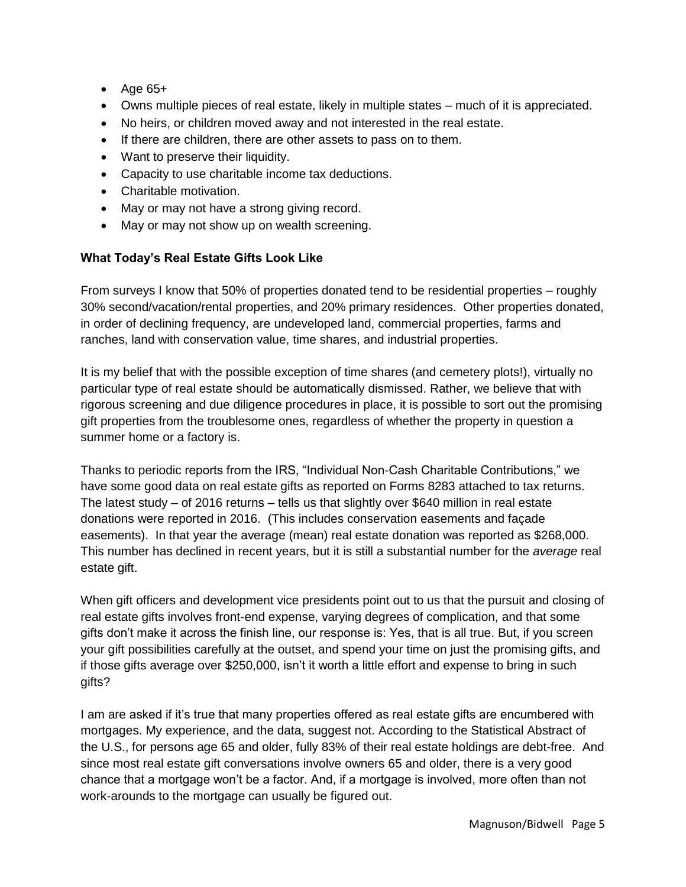- $\bullet$  Age 65+
- Owns multiple pieces of real estate, likely in multiple states much of it is appreciated.
- No heirs, or children moved away and not interested in the real estate.
- If there are children, there are other assets to pass on to them.
- Want to preserve their liquidity.
- Capacity to use charitable income tax deductions.
- Charitable motivation.
- May or may not have a strong giving record.
- May or may not show up on wealth screening.

# **What Today's Real Estate Gifts Look Like**

From surveys I know that 50% of properties donated tend to be residential properties – roughly 30% second/vacation/rental properties, and 20% primary residences. Other properties donated, in order of declining frequency, are undeveloped land, commercial properties, farms and ranches, land with conservation value, time shares, and industrial properties.

It is my belief that with the possible exception of time shares (and cemetery plots!), virtually no particular type of real estate should be automatically dismissed. Rather, we believe that with rigorous screening and due diligence procedures in place, it is possible to sort out the promising gift properties from the troublesome ones, regardless of whether the property in question a summer home or a factory is.

Thanks to periodic reports from the IRS, "Individual Non-Cash Charitable Contributions," we have some good data on real estate gifts as reported on Forms 8283 attached to tax returns. The latest study – of 2016 returns – tells us that slightly over \$640 million in real estate donations were reported in 2016. (This includes conservation easements and façade easements). In that year the average (mean) real estate donation was reported as \$268,000. This number has declined in recent years, but it is still a substantial number for the *average* real estate gift.

When gift officers and development vice presidents point out to us that the pursuit and closing of real estate gifts involves front-end expense, varying degrees of complication, and that some gifts don't make it across the finish line, our response is: Yes, that is all true. But, if you screen your gift possibilities carefully at the outset, and spend your time on just the promising gifts, and if those gifts average over \$250,000, isn't it worth a little effort and expense to bring in such gifts?

I am are asked if it's true that many properties offered as real estate gifts are encumbered with mortgages. My experience, and the data, suggest not. According to the Statistical Abstract of the U.S., for persons age 65 and older, fully 83% of their real estate holdings are debt-free. And since most real estate gift conversations involve owners 65 and older, there is a very good chance that a mortgage won't be a factor. And, if a mortgage is involved, more often than not work-arounds to the mortgage can usually be figured out.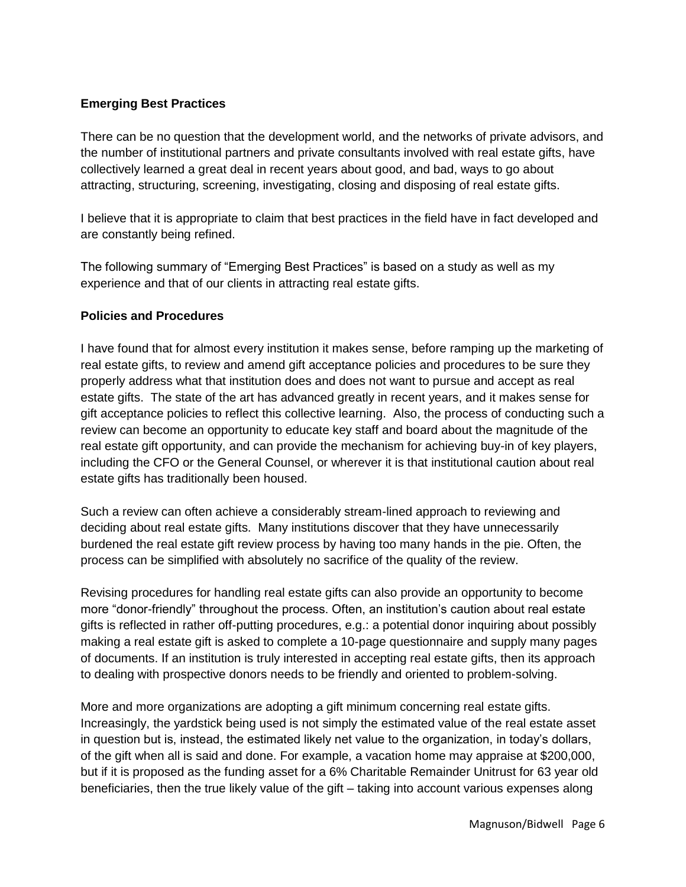#### **Emerging Best Practices**

There can be no question that the development world, and the networks of private advisors, and the number of institutional partners and private consultants involved with real estate gifts, have collectively learned a great deal in recent years about good, and bad, ways to go about attracting, structuring, screening, investigating, closing and disposing of real estate gifts.

I believe that it is appropriate to claim that best practices in the field have in fact developed and are constantly being refined.

The following summary of "Emerging Best Practices" is based on a study as well as my experience and that of our clients in attracting real estate gifts.

#### **Policies and Procedures**

I have found that for almost every institution it makes sense, before ramping up the marketing of real estate gifts, to review and amend gift acceptance policies and procedures to be sure they properly address what that institution does and does not want to pursue and accept as real estate gifts. The state of the art has advanced greatly in recent years, and it makes sense for gift acceptance policies to reflect this collective learning. Also, the process of conducting such a review can become an opportunity to educate key staff and board about the magnitude of the real estate gift opportunity, and can provide the mechanism for achieving buy-in of key players, including the CFO or the General Counsel, or wherever it is that institutional caution about real estate gifts has traditionally been housed.

Such a review can often achieve a considerably stream-lined approach to reviewing and deciding about real estate gifts. Many institutions discover that they have unnecessarily burdened the real estate gift review process by having too many hands in the pie. Often, the process can be simplified with absolutely no sacrifice of the quality of the review.

Revising procedures for handling real estate gifts can also provide an opportunity to become more "donor-friendly" throughout the process. Often, an institution's caution about real estate gifts is reflected in rather off-putting procedures, e.g.: a potential donor inquiring about possibly making a real estate gift is asked to complete a 10-page questionnaire and supply many pages of documents. If an institution is truly interested in accepting real estate gifts, then its approach to dealing with prospective donors needs to be friendly and oriented to problem-solving.

More and more organizations are adopting a gift minimum concerning real estate gifts. Increasingly, the yardstick being used is not simply the estimated value of the real estate asset in question but is, instead, the estimated likely net value to the organization, in today's dollars, of the gift when all is said and done. For example, a vacation home may appraise at \$200,000, but if it is proposed as the funding asset for a 6% Charitable Remainder Unitrust for 63 year old beneficiaries, then the true likely value of the gift – taking into account various expenses along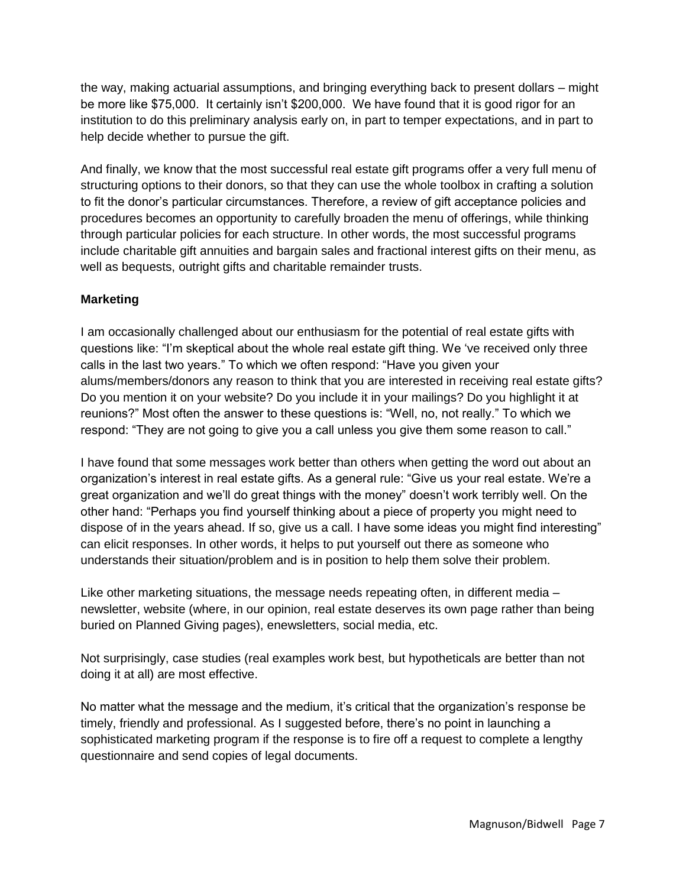the way, making actuarial assumptions, and bringing everything back to present dollars – might be more like \$75,000. It certainly isn't \$200,000. We have found that it is good rigor for an institution to do this preliminary analysis early on, in part to temper expectations, and in part to help decide whether to pursue the gift.

And finally, we know that the most successful real estate gift programs offer a very full menu of structuring options to their donors, so that they can use the whole toolbox in crafting a solution to fit the donor's particular circumstances. Therefore, a review of gift acceptance policies and procedures becomes an opportunity to carefully broaden the menu of offerings, while thinking through particular policies for each structure. In other words, the most successful programs include charitable gift annuities and bargain sales and fractional interest gifts on their menu, as well as bequests, outright gifts and charitable remainder trusts.

## **Marketing**

I am occasionally challenged about our enthusiasm for the potential of real estate gifts with questions like: "I'm skeptical about the whole real estate gift thing. We 've received only three calls in the last two years." To which we often respond: "Have you given your alums/members/donors any reason to think that you are interested in receiving real estate gifts? Do you mention it on your website? Do you include it in your mailings? Do you highlight it at reunions?" Most often the answer to these questions is: "Well, no, not really." To which we respond: "They are not going to give you a call unless you give them some reason to call."

I have found that some messages work better than others when getting the word out about an organization's interest in real estate gifts. As a general rule: "Give us your real estate. We're a great organization and we'll do great things with the money" doesn't work terribly well. On the other hand: "Perhaps you find yourself thinking about a piece of property you might need to dispose of in the years ahead. If so, give us a call. I have some ideas you might find interesting" can elicit responses. In other words, it helps to put yourself out there as someone who understands their situation/problem and is in position to help them solve their problem.

Like other marketing situations, the message needs repeating often, in different media – newsletter, website (where, in our opinion, real estate deserves its own page rather than being buried on Planned Giving pages), enewsletters, social media, etc.

Not surprisingly, case studies (real examples work best, but hypotheticals are better than not doing it at all) are most effective.

No matter what the message and the medium, it's critical that the organization's response be timely, friendly and professional. As I suggested before, there's no point in launching a sophisticated marketing program if the response is to fire off a request to complete a lengthy questionnaire and send copies of legal documents.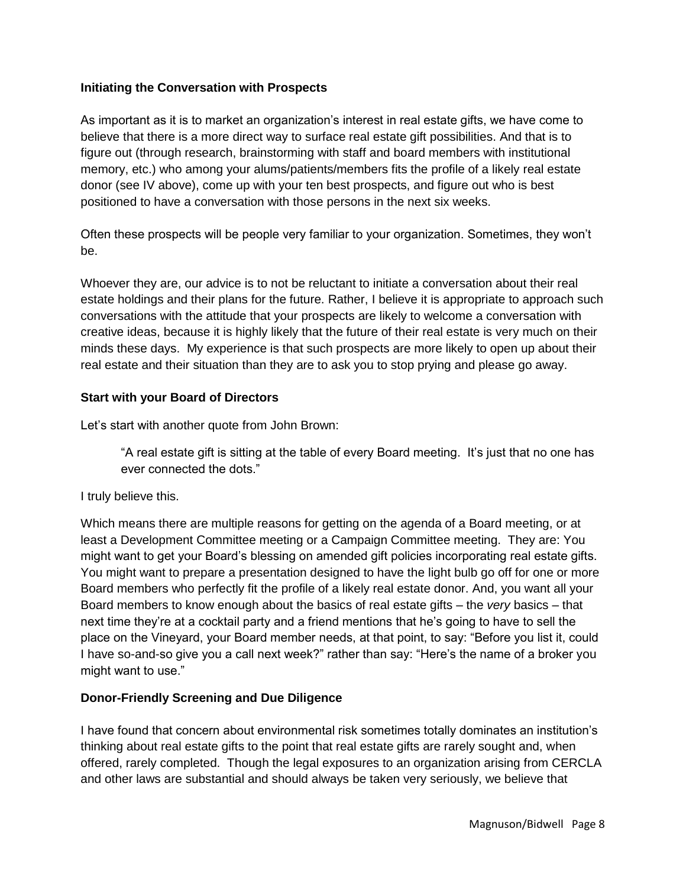#### **Initiating the Conversation with Prospects**

As important as it is to market an organization's interest in real estate gifts, we have come to believe that there is a more direct way to surface real estate gift possibilities. And that is to figure out (through research, brainstorming with staff and board members with institutional memory, etc.) who among your alums/patients/members fits the profile of a likely real estate donor (see IV above), come up with your ten best prospects, and figure out who is best positioned to have a conversation with those persons in the next six weeks.

Often these prospects will be people very familiar to your organization. Sometimes, they won't be.

Whoever they are, our advice is to not be reluctant to initiate a conversation about their real estate holdings and their plans for the future. Rather, I believe it is appropriate to approach such conversations with the attitude that your prospects are likely to welcome a conversation with creative ideas, because it is highly likely that the future of their real estate is very much on their minds these days. My experience is that such prospects are more likely to open up about their real estate and their situation than they are to ask you to stop prying and please go away.

#### **Start with your Board of Directors**

Let's start with another quote from John Brown:

"A real estate gift is sitting at the table of every Board meeting. It's just that no one has ever connected the dots."

#### I truly believe this.

Which means there are multiple reasons for getting on the agenda of a Board meeting, or at least a Development Committee meeting or a Campaign Committee meeting. They are: You might want to get your Board's blessing on amended gift policies incorporating real estate gifts. You might want to prepare a presentation designed to have the light bulb go off for one or more Board members who perfectly fit the profile of a likely real estate donor. And, you want all your Board members to know enough about the basics of real estate gifts – the *very* basics – that next time they're at a cocktail party and a friend mentions that he's going to have to sell the place on the Vineyard, your Board member needs, at that point, to say: "Before you list it, could I have so-and-so give you a call next week?" rather than say: "Here's the name of a broker you might want to use."

## **Donor-Friendly Screening and Due Diligence**

I have found that concern about environmental risk sometimes totally dominates an institution's thinking about real estate gifts to the point that real estate gifts are rarely sought and, when offered, rarely completed. Though the legal exposures to an organization arising from CERCLA and other laws are substantial and should always be taken very seriously, we believe that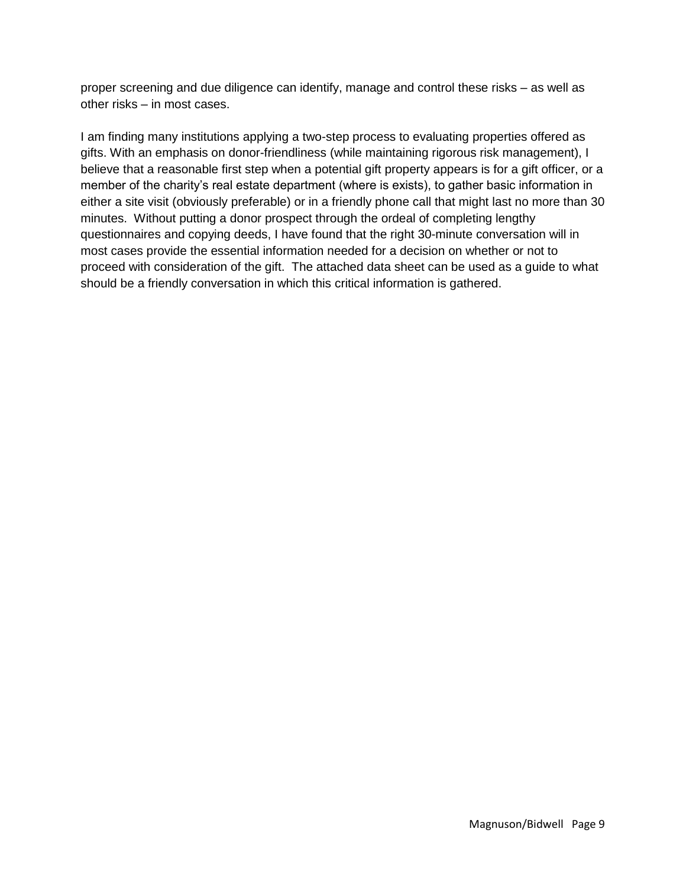proper screening and due diligence can identify, manage and control these risks – as well as other risks – in most cases.

I am finding many institutions applying a two-step process to evaluating properties offered as gifts. With an emphasis on donor-friendliness (while maintaining rigorous risk management), I believe that a reasonable first step when a potential gift property appears is for a gift officer, or a member of the charity's real estate department (where is exists), to gather basic information in either a site visit (obviously preferable) or in a friendly phone call that might last no more than 30 minutes. Without putting a donor prospect through the ordeal of completing lengthy questionnaires and copying deeds, I have found that the right 30-minute conversation will in most cases provide the essential information needed for a decision on whether or not to proceed with consideration of the gift. The attached data sheet can be used as a guide to what should be a friendly conversation in which this critical information is gathered.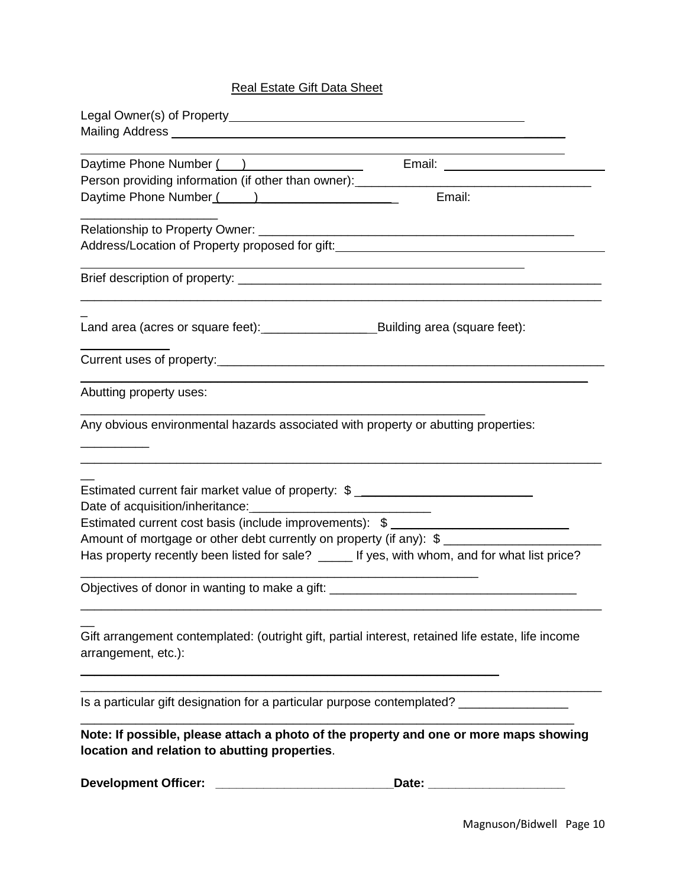# Real Estate Gift Data Sheet

| Daytime Phone Number ()<br>Person providing information (if other than owner): ___________                                             |
|----------------------------------------------------------------------------------------------------------------------------------------|
| Email:<br>Daytime Phone Number (All Allen Communication Contract Communication Contract Communication Communication Comm               |
| Address/Location of Property proposed for gift:<br>Address/Location of Property proposed for gift:                                     |
|                                                                                                                                        |
|                                                                                                                                        |
|                                                                                                                                        |
| Abutting property uses:                                                                                                                |
| Any obvious environmental hazards associated with property or abutting properties:                                                     |
| Estimated current fair market value of property: \$ _____________________________                                                      |
| Estimated current cost basis (include improvements): \$ _________________________                                                      |
| Amount of mortgage or other debt currently on property (if any): \$                                                                    |
| Has property recently been listed for sale? _____ If yes, with whom, and for what list price?                                          |
| Objectives of donor in wanting to make a gift: _________________________________                                                       |
| Gift arrangement contemplated: (outright gift, partial interest, retained life estate, life income<br>arrangement, etc.):              |
| Is a particular gift designation for a particular purpose contemplated? ______________                                                 |
| Note: If possible, please attach a photo of the property and one or more maps showing<br>location and relation to abutting properties. |
|                                                                                                                                        |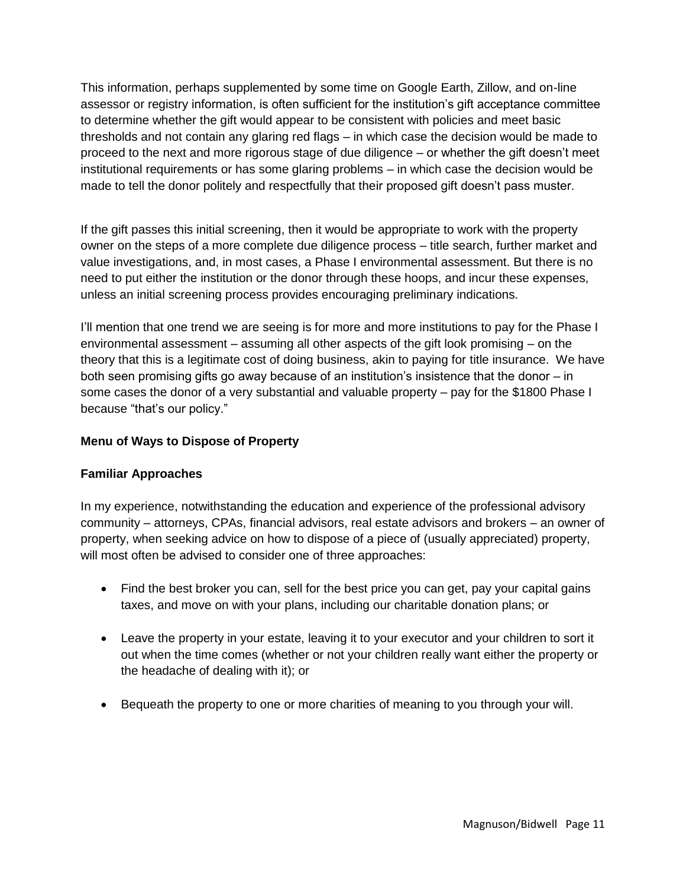This information, perhaps supplemented by some time on Google Earth, Zillow, and on-line assessor or registry information, is often sufficient for the institution's gift acceptance committee to determine whether the gift would appear to be consistent with policies and meet basic thresholds and not contain any glaring red flags – in which case the decision would be made to proceed to the next and more rigorous stage of due diligence – or whether the gift doesn't meet institutional requirements or has some glaring problems – in which case the decision would be made to tell the donor politely and respectfully that their proposed gift doesn't pass muster.

If the gift passes this initial screening, then it would be appropriate to work with the property owner on the steps of a more complete due diligence process – title search, further market and value investigations, and, in most cases, a Phase I environmental assessment. But there is no need to put either the institution or the donor through these hoops, and incur these expenses, unless an initial screening process provides encouraging preliminary indications.

I'll mention that one trend we are seeing is for more and more institutions to pay for the Phase I environmental assessment – assuming all other aspects of the gift look promising – on the theory that this is a legitimate cost of doing business, akin to paying for title insurance. We have both seen promising gifts go away because of an institution's insistence that the donor – in some cases the donor of a very substantial and valuable property – pay for the \$1800 Phase I because "that's our policy."

# **Menu of Ways to Dispose of Property**

## **Familiar Approaches**

In my experience, notwithstanding the education and experience of the professional advisory community – attorneys, CPAs, financial advisors, real estate advisors and brokers – an owner of property, when seeking advice on how to dispose of a piece of (usually appreciated) property, will most often be advised to consider one of three approaches:

- Find the best broker you can, sell for the best price you can get, pay your capital gains taxes, and move on with your plans, including our charitable donation plans; or
- Leave the property in your estate, leaving it to your executor and your children to sort it out when the time comes (whether or not your children really want either the property or the headache of dealing with it); or
- Bequeath the property to one or more charities of meaning to you through your will.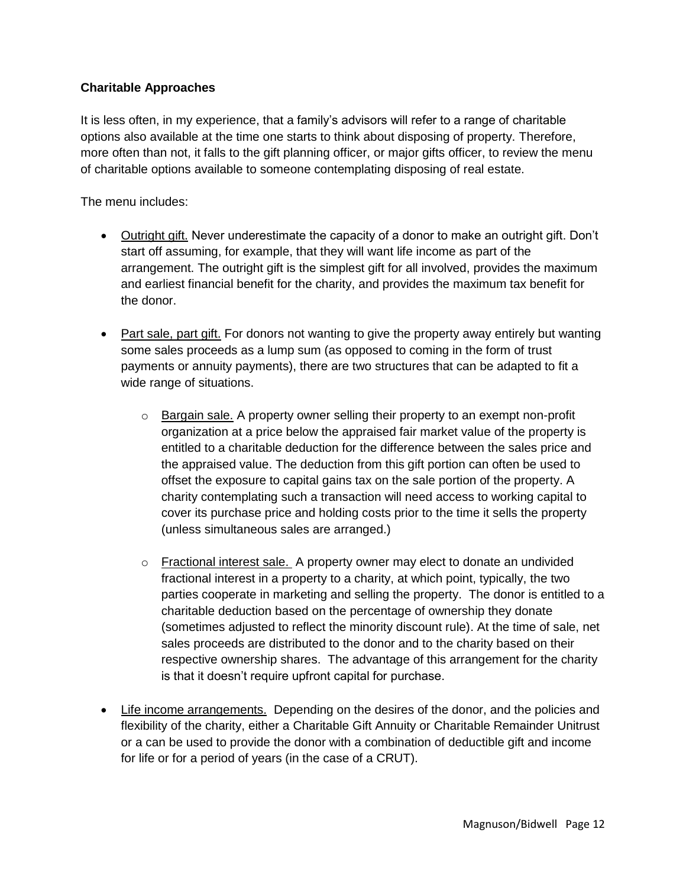## **Charitable Approaches**

It is less often, in my experience, that a family's advisors will refer to a range of charitable options also available at the time one starts to think about disposing of property. Therefore, more often than not, it falls to the gift planning officer, or major gifts officer, to review the menu of charitable options available to someone contemplating disposing of real estate.

The menu includes:

- Outright gift. Never underestimate the capacity of a donor to make an outright gift. Don't start off assuming, for example, that they will want life income as part of the arrangement. The outright gift is the simplest gift for all involved, provides the maximum and earliest financial benefit for the charity, and provides the maximum tax benefit for the donor.
- Part sale, part gift. For donors not wanting to give the property away entirely but wanting some sales proceeds as a lump sum (as opposed to coming in the form of trust payments or annuity payments), there are two structures that can be adapted to fit a wide range of situations.
	- $\circ$  Bargain sale. A property owner selling their property to an exempt non-profit organization at a price below the appraised fair market value of the property is entitled to a charitable deduction for the difference between the sales price and the appraised value. The deduction from this gift portion can often be used to offset the exposure to capital gains tax on the sale portion of the property. A charity contemplating such a transaction will need access to working capital to cover its purchase price and holding costs prior to the time it sells the property (unless simultaneous sales are arranged.)
	- $\circ$  Fractional interest sale. A property owner may elect to donate an undivided fractional interest in a property to a charity, at which point, typically, the two parties cooperate in marketing and selling the property. The donor is entitled to a charitable deduction based on the percentage of ownership they donate (sometimes adjusted to reflect the minority discount rule). At the time of sale, net sales proceeds are distributed to the donor and to the charity based on their respective ownership shares. The advantage of this arrangement for the charity is that it doesn't require upfront capital for purchase.
- Life income arrangements. Depending on the desires of the donor, and the policies and flexibility of the charity, either a Charitable Gift Annuity or Charitable Remainder Unitrust or a can be used to provide the donor with a combination of deductible gift and income for life or for a period of years (in the case of a CRUT).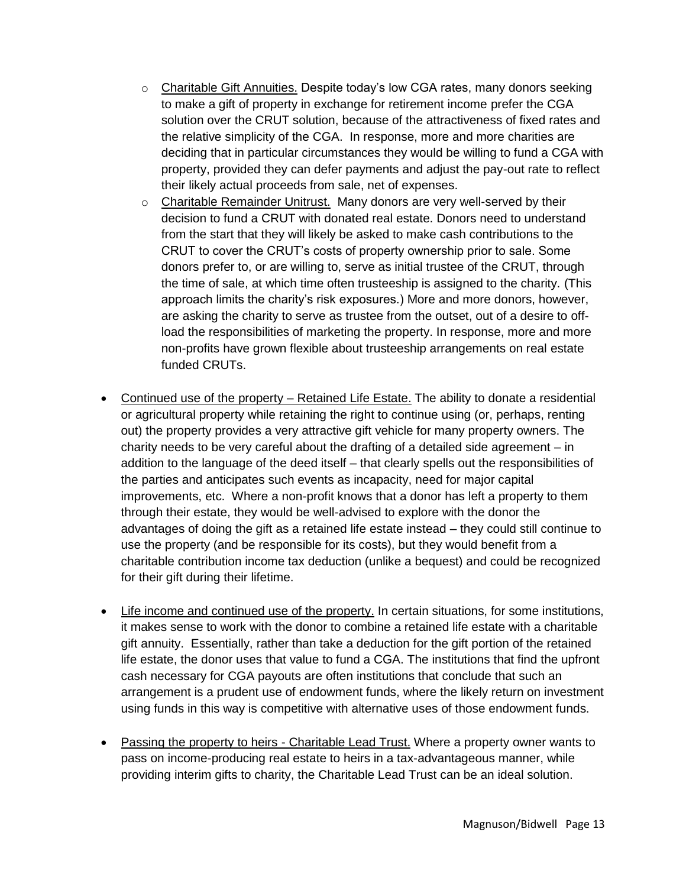- $\circ$  Charitable Gift Annuities. Despite today's low CGA rates, many donors seeking to make a gift of property in exchange for retirement income prefer the CGA solution over the CRUT solution, because of the attractiveness of fixed rates and the relative simplicity of the CGA. In response, more and more charities are deciding that in particular circumstances they would be willing to fund a CGA with property, provided they can defer payments and adjust the pay-out rate to reflect their likely actual proceeds from sale, net of expenses.
- $\circ$  Charitable Remainder Unitrust. Many donors are very well-served by their decision to fund a CRUT with donated real estate. Donors need to understand from the start that they will likely be asked to make cash contributions to the CRUT to cover the CRUT's costs of property ownership prior to sale. Some donors prefer to, or are willing to, serve as initial trustee of the CRUT, through the time of sale, at which time often trusteeship is assigned to the charity. (This approach limits the charity's risk exposures.) More and more donors, however, are asking the charity to serve as trustee from the outset, out of a desire to offload the responsibilities of marketing the property. In response, more and more non-profits have grown flexible about trusteeship arrangements on real estate funded CRUTs.
- Continued use of the property Retained Life Estate. The ability to donate a residential or agricultural property while retaining the right to continue using (or, perhaps, renting out) the property provides a very attractive gift vehicle for many property owners. The charity needs to be very careful about the drafting of a detailed side agreement – in addition to the language of the deed itself – that clearly spells out the responsibilities of the parties and anticipates such events as incapacity, need for major capital improvements, etc. Where a non-profit knows that a donor has left a property to them through their estate, they would be well-advised to explore with the donor the advantages of doing the gift as a retained life estate instead – they could still continue to use the property (and be responsible for its costs), but they would benefit from a charitable contribution income tax deduction (unlike a bequest) and could be recognized for their gift during their lifetime.
- Life income and continued use of the property. In certain situations, for some institutions, it makes sense to work with the donor to combine a retained life estate with a charitable gift annuity. Essentially, rather than take a deduction for the gift portion of the retained life estate, the donor uses that value to fund a CGA. The institutions that find the upfront cash necessary for CGA payouts are often institutions that conclude that such an arrangement is a prudent use of endowment funds, where the likely return on investment using funds in this way is competitive with alternative uses of those endowment funds.
- Passing the property to heirs Charitable Lead Trust. Where a property owner wants to pass on income-producing real estate to heirs in a tax-advantageous manner, while providing interim gifts to charity, the Charitable Lead Trust can be an ideal solution.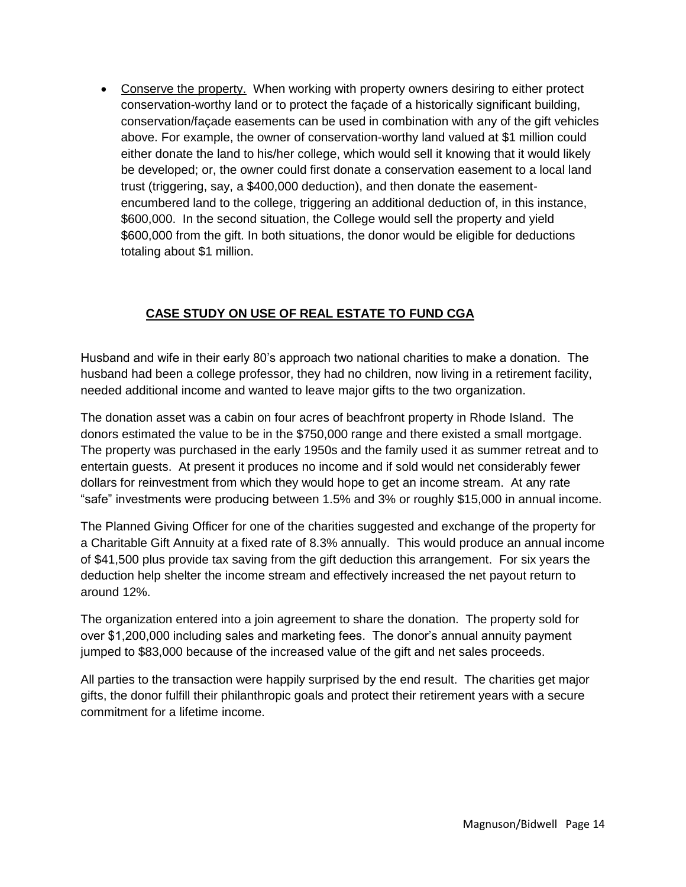Conserve the property. When working with property owners desiring to either protect conservation-worthy land or to protect the façade of a historically significant building, conservation/façade easements can be used in combination with any of the gift vehicles above. For example, the owner of conservation-worthy land valued at \$1 million could either donate the land to his/her college, which would sell it knowing that it would likely be developed; or, the owner could first donate a conservation easement to a local land trust (triggering, say, a \$400,000 deduction), and then donate the easementencumbered land to the college, triggering an additional deduction of, in this instance, \$600,000. In the second situation, the College would sell the property and yield \$600,000 from the gift. In both situations, the donor would be eligible for deductions totaling about \$1 million.

## **CASE STUDY ON USE OF REAL ESTATE TO FUND CGA**

Husband and wife in their early 80's approach two national charities to make a donation. The husband had been a college professor, they had no children, now living in a retirement facility, needed additional income and wanted to leave major gifts to the two organization.

The donation asset was a cabin on four acres of beachfront property in Rhode Island. The donors estimated the value to be in the \$750,000 range and there existed a small mortgage. The property was purchased in the early 1950s and the family used it as summer retreat and to entertain guests. At present it produces no income and if sold would net considerably fewer dollars for reinvestment from which they would hope to get an income stream. At any rate "safe" investments were producing between 1.5% and 3% or roughly \$15,000 in annual income.

The Planned Giving Officer for one of the charities suggested and exchange of the property for a Charitable Gift Annuity at a fixed rate of 8.3% annually. This would produce an annual income of \$41,500 plus provide tax saving from the gift deduction this arrangement. For six years the deduction help shelter the income stream and effectively increased the net payout return to around 12%.

The organization entered into a join agreement to share the donation. The property sold for over \$1,200,000 including sales and marketing fees. The donor's annual annuity payment jumped to \$83,000 because of the increased value of the gift and net sales proceeds.

All parties to the transaction were happily surprised by the end result. The charities get major gifts, the donor fulfill their philanthropic goals and protect their retirement years with a secure commitment for a lifetime income.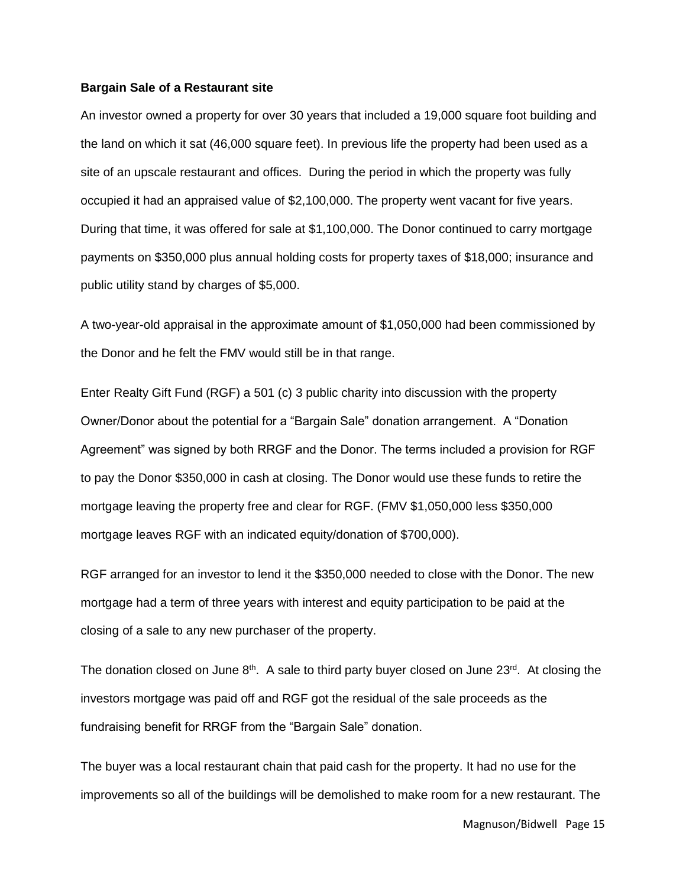#### **Bargain Sale of a Restaurant site**

An investor owned a property for over 30 years that included a 19,000 square foot building and the land on which it sat (46,000 square feet). In previous life the property had been used as a site of an upscale restaurant and offices. During the period in which the property was fully occupied it had an appraised value of \$2,100,000. The property went vacant for five years. During that time, it was offered for sale at \$1,100,000. The Donor continued to carry mortgage payments on \$350,000 plus annual holding costs for property taxes of \$18,000; insurance and public utility stand by charges of \$5,000.

A two-year-old appraisal in the approximate amount of \$1,050,000 had been commissioned by the Donor and he felt the FMV would still be in that range.

Enter Realty Gift Fund (RGF) a 501 (c) 3 public charity into discussion with the property Owner/Donor about the potential for a "Bargain Sale" donation arrangement. A "Donation Agreement" was signed by both RRGF and the Donor. The terms included a provision for RGF to pay the Donor \$350,000 in cash at closing. The Donor would use these funds to retire the mortgage leaving the property free and clear for RGF. (FMV \$1,050,000 less \$350,000 mortgage leaves RGF with an indicated equity/donation of \$700,000).

RGF arranged for an investor to lend it the \$350,000 needed to close with the Donor. The new mortgage had a term of three years with interest and equity participation to be paid at the closing of a sale to any new purchaser of the property.

The donation closed on June  $8<sup>th</sup>$ . A sale to third party buyer closed on June 23<sup>rd</sup>. At closing the investors mortgage was paid off and RGF got the residual of the sale proceeds as the fundraising benefit for RRGF from the "Bargain Sale" donation.

The buyer was a local restaurant chain that paid cash for the property. It had no use for the improvements so all of the buildings will be demolished to make room for a new restaurant. The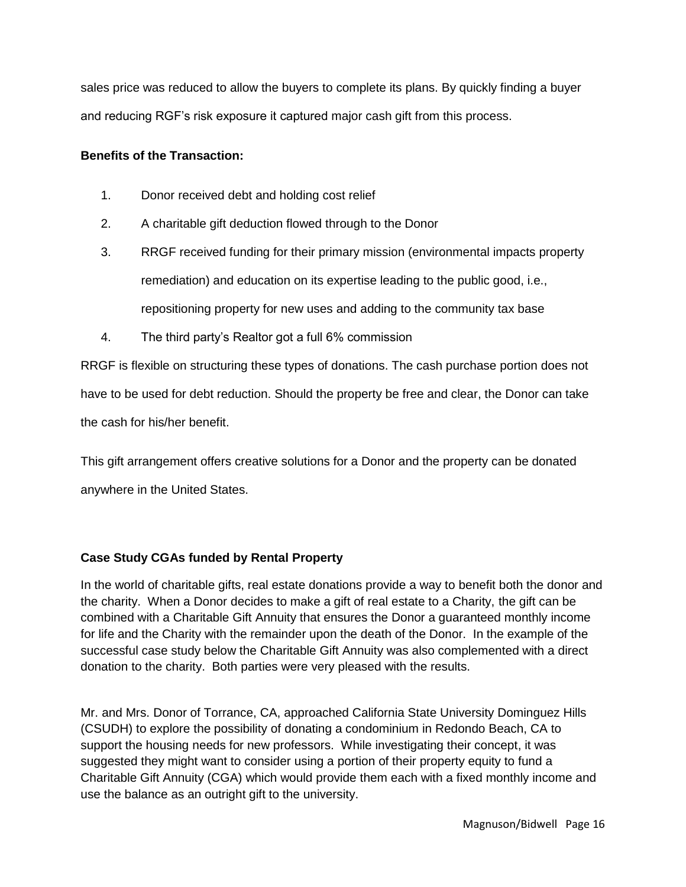sales price was reduced to allow the buyers to complete its plans. By quickly finding a buyer and reducing RGF's risk exposure it captured major cash gift from this process.

#### **Benefits of the Transaction:**

- 1. Donor received debt and holding cost relief
- 2. A charitable gift deduction flowed through to the Donor
- 3. RRGF received funding for their primary mission (environmental impacts property remediation) and education on its expertise leading to the public good, i.e., repositioning property for new uses and adding to the community tax base
- 4. The third party's Realtor got a full 6% commission

RRGF is flexible on structuring these types of donations. The cash purchase portion does not have to be used for debt reduction. Should the property be free and clear, the Donor can take the cash for his/her benefit.

This gift arrangement offers creative solutions for a Donor and the property can be donated anywhere in the United States.

## **Case Study CGAs funded by Rental Property**

In the world of charitable gifts, real estate donations provide a way to benefit both the donor and the charity. When a Donor decides to make a gift of real estate to a Charity, the gift can be combined with a Charitable Gift Annuity that ensures the Donor a guaranteed monthly income for life and the Charity with the remainder upon the death of the Donor. In the example of the successful case study below the Charitable Gift Annuity was also complemented with a direct donation to the charity. Both parties were very pleased with the results.

Mr. and Mrs. Donor of Torrance, CA, approached California State University Dominguez Hills (CSUDH) to explore the possibility of donating a condominium in Redondo Beach, CA to support the housing needs for new professors. While investigating their concept, it was suggested they might want to consider using a portion of their property equity to fund a Charitable Gift Annuity (CGA) which would provide them each with a fixed monthly income and use the balance as an outright gift to the university.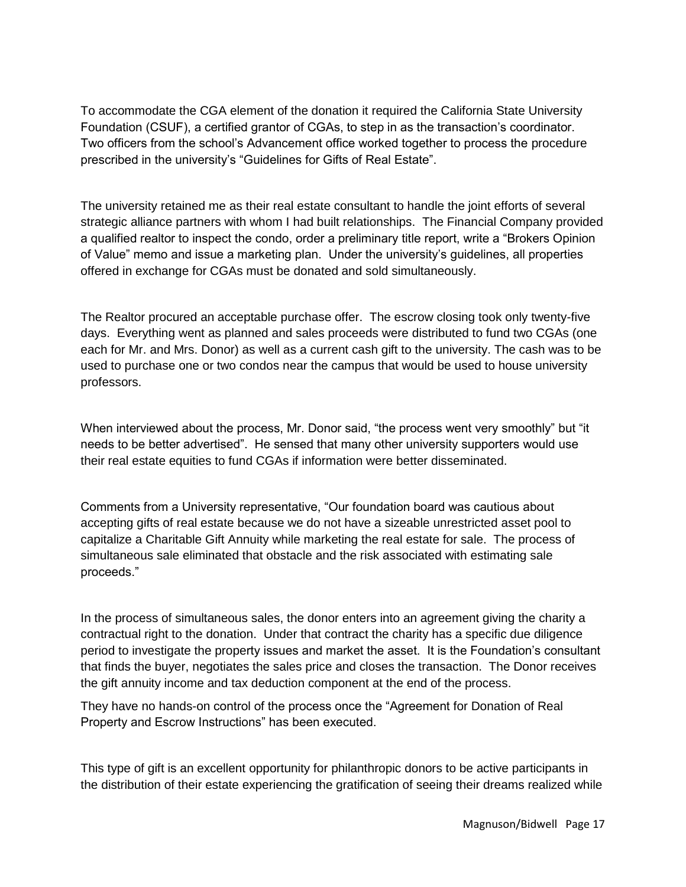To accommodate the CGA element of the donation it required the California State University Foundation (CSUF), a certified grantor of CGAs, to step in as the transaction's coordinator. Two officers from the school's Advancement office worked together to process the procedure prescribed in the university's "Guidelines for Gifts of Real Estate".

The university retained me as their real estate consultant to handle the joint efforts of several strategic alliance partners with whom I had built relationships. The Financial Company provided a qualified realtor to inspect the condo, order a preliminary title report, write a "Brokers Opinion of Value" memo and issue a marketing plan. Under the university's guidelines, all properties offered in exchange for CGAs must be donated and sold simultaneously.

The Realtor procured an acceptable purchase offer. The escrow closing took only twenty-five days. Everything went as planned and sales proceeds were distributed to fund two CGAs (one each for Mr. and Mrs. Donor) as well as a current cash gift to the university. The cash was to be used to purchase one or two condos near the campus that would be used to house university professors.

When interviewed about the process, Mr. Donor said, "the process went very smoothly" but "it needs to be better advertised". He sensed that many other university supporters would use their real estate equities to fund CGAs if information were better disseminated.

Comments from a University representative, "Our foundation board was cautious about accepting gifts of real estate because we do not have a sizeable unrestricted asset pool to capitalize a Charitable Gift Annuity while marketing the real estate for sale. The process of simultaneous sale eliminated that obstacle and the risk associated with estimating sale proceeds."

In the process of simultaneous sales, the donor enters into an agreement giving the charity a contractual right to the donation. Under that contract the charity has a specific due diligence period to investigate the property issues and market the asset. It is the Foundation's consultant that finds the buyer, negotiates the sales price and closes the transaction. The Donor receives the gift annuity income and tax deduction component at the end of the process.

They have no hands-on control of the process once the "Agreement for Donation of Real Property and Escrow Instructions" has been executed.

This type of gift is an excellent opportunity for philanthropic donors to be active participants in the distribution of their estate experiencing the gratification of seeing their dreams realized while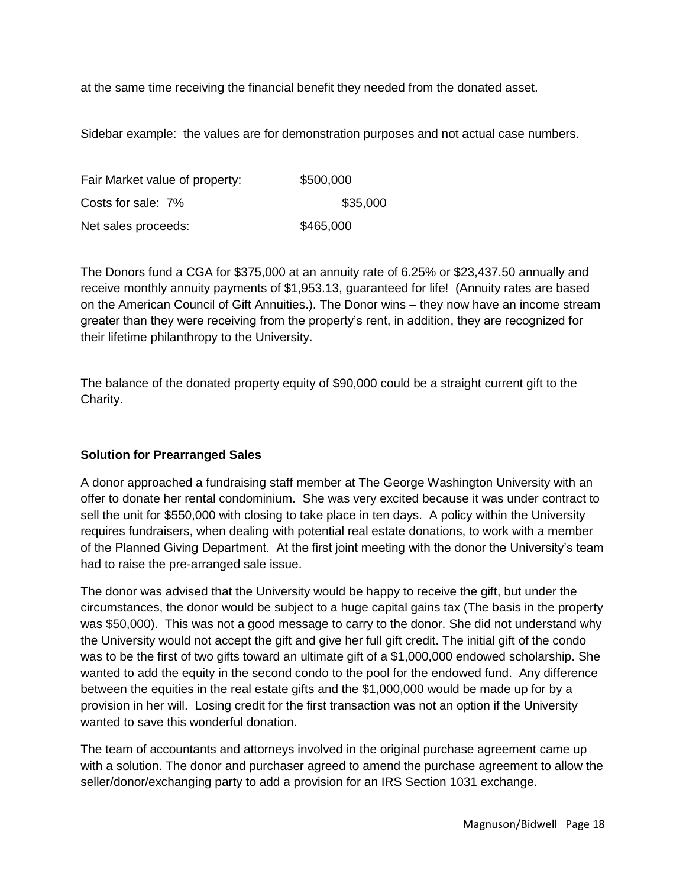at the same time receiving the financial benefit they needed from the donated asset.

Sidebar example: the values are for demonstration purposes and not actual case numbers.

| Fair Market value of property: | \$500,000 |
|--------------------------------|-----------|
| Costs for sale: 7%             | \$35,000  |
| Net sales proceeds:            | \$465,000 |

The Donors fund a CGA for \$375,000 at an annuity rate of 6.25% or \$23,437.50 annually and receive monthly annuity payments of \$1,953.13, guaranteed for life! (Annuity rates are based on the American Council of Gift Annuities.). The Donor wins – they now have an income stream greater than they were receiving from the property's rent, in addition, they are recognized for their lifetime philanthropy to the University.

The balance of the donated property equity of \$90,000 could be a straight current gift to the Charity.

## **Solution for Prearranged Sales**

A donor approached a fundraising staff member at The George Washington University with an offer to donate her rental condominium. She was very excited because it was under contract to sell the unit for \$550,000 with closing to take place in ten days. A policy within the University requires fundraisers, when dealing with potential real estate donations, to work with a member of the Planned Giving Department. At the first joint meeting with the donor the University's team had to raise the pre-arranged sale issue.

The donor was advised that the University would be happy to receive the gift, but under the circumstances, the donor would be subject to a huge capital gains tax (The basis in the property was \$50,000). This was not a good message to carry to the donor. She did not understand why the University would not accept the gift and give her full gift credit. The initial gift of the condo was to be the first of two gifts toward an ultimate gift of a \$1,000,000 endowed scholarship. She wanted to add the equity in the second condo to the pool for the endowed fund. Any difference between the equities in the real estate gifts and the \$1,000,000 would be made up for by a provision in her will. Losing credit for the first transaction was not an option if the University wanted to save this wonderful donation.

The team of accountants and attorneys involved in the original purchase agreement came up with a solution. The donor and purchaser agreed to amend the purchase agreement to allow the seller/donor/exchanging party to add a provision for an IRS Section 1031 exchange.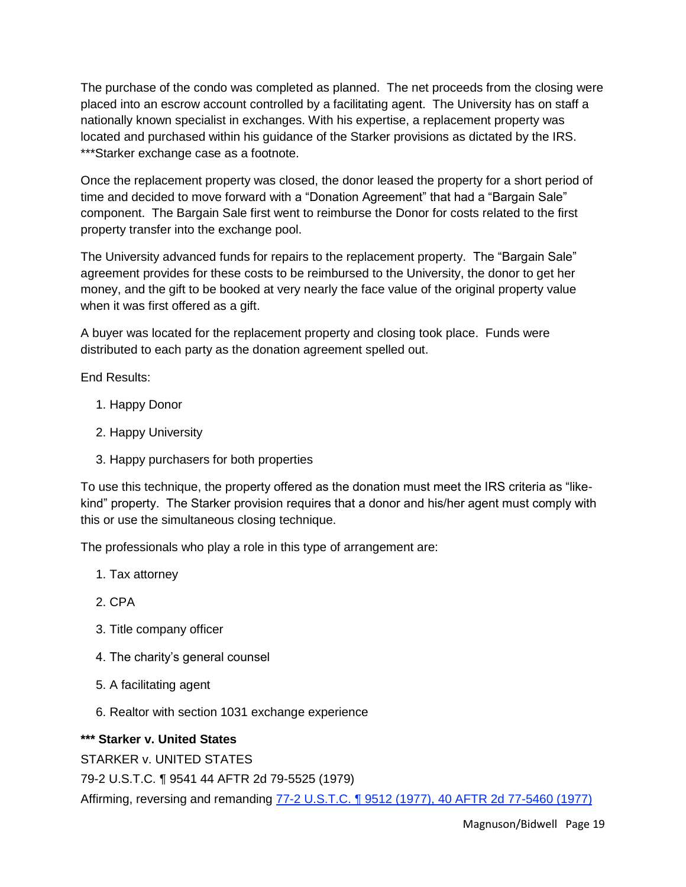The purchase of the condo was completed as planned. The net proceeds from the closing were placed into an escrow account controlled by a facilitating agent. The University has on staff a nationally known specialist in exchanges. With his expertise, a replacement property was located and purchased within his guidance of the Starker provisions as dictated by the IRS. \*\*\*Starker exchange case as a footnote.

Once the replacement property was closed, the donor leased the property for a short period of time and decided to move forward with a "Donation Agreement" that had a "Bargain Sale" component. The Bargain Sale first went to reimburse the Donor for costs related to the first property transfer into the exchange pool.

The University advanced funds for repairs to the replacement property. The "Bargain Sale" agreement provides for these costs to be reimbursed to the University, the donor to get her money, and the gift to be booked at very nearly the face value of the original property value when it was first offered as a gift.

A buyer was located for the replacement property and closing took place. Funds were distributed to each party as the donation agreement spelled out.

End Results:

- 1. Happy Donor
- 2. Happy University
- 3. Happy purchasers for both properties

To use this technique, the property offered as the donation must meet the IRS criteria as "likekind" property. The Starker provision requires that a donor and his/her agent must comply with this or use the simultaneous closing technique.

The professionals who play a role in this type of arrangement are:

- 1. Tax attorney
- 2. CPA
- 3. Title company officer
- 4. The charity's general counsel
- 5. A facilitating agent
- 6. Realtor with section 1031 exchange experience

## **\*\*\* Starker v. United States**

STARKER v. UNITED STATES

79-2 U.S.T.C. ¶ 9541 44 AFTR 2d 79-5525 (1979)

Affirming, reversing and remanding [77-2 U.S.T.C. ¶ 9512 \(1977\), 40 AFTR 2d 77-5460 \(1977\)](http://www.timbertax.org/research/caselaw/court_cases/s/starker)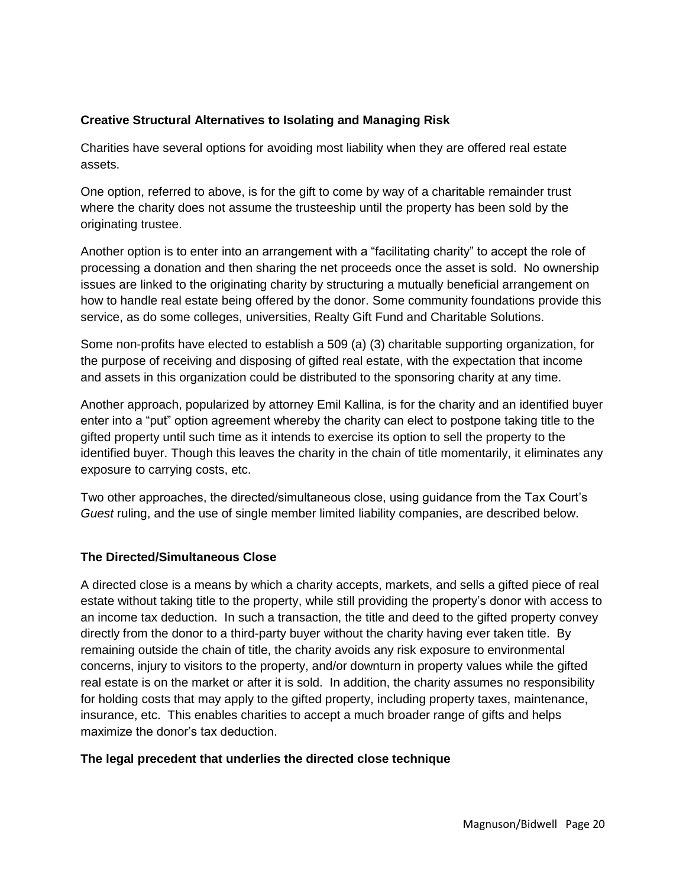#### **Creative Structural Alternatives to Isolating and Managing Risk**

Charities have several options for avoiding most liability when they are offered real estate assets.

One option, referred to above, is for the gift to come by way of a charitable remainder trust where the charity does not assume the trusteeship until the property has been sold by the originating trustee.

Another option is to enter into an arrangement with a "facilitating charity" to accept the role of processing a donation and then sharing the net proceeds once the asset is sold. No ownership issues are linked to the originating charity by structuring a mutually beneficial arrangement on how to handle real estate being offered by the donor. Some community foundations provide this service, as do some colleges, universities, Realty Gift Fund and Charitable Solutions.

Some non-profits have elected to establish a 509 (a) (3) charitable supporting organization, for the purpose of receiving and disposing of gifted real estate, with the expectation that income and assets in this organization could be distributed to the sponsoring charity at any time.

Another approach, popularized by attorney Emil Kallina, is for the charity and an identified buyer enter into a "put" option agreement whereby the charity can elect to postpone taking title to the gifted property until such time as it intends to exercise its option to sell the property to the identified buyer. Though this leaves the charity in the chain of title momentarily, it eliminates any exposure to carrying costs, etc.

Two other approaches, the directed/simultaneous close, using guidance from the Tax Court's *Guest* ruling, and the use of single member limited liability companies, are described below.

#### **The Directed/Simultaneous Close**

A directed close is a means by which a charity accepts, markets, and sells a gifted piece of real estate without taking title to the property, while still providing the property's donor with access to an income tax deduction. In such a transaction, the title and deed to the gifted property convey directly from the donor to a third-party buyer without the charity having ever taken title. By remaining outside the chain of title, the charity avoids any risk exposure to environmental concerns, injury to visitors to the property, and/or downturn in property values while the gifted real estate is on the market or after it is sold. In addition, the charity assumes no responsibility for holding costs that may apply to the gifted property, including property taxes, maintenance, insurance, etc. This enables charities to accept a much broader range of gifts and helps maximize the donor's tax deduction.

#### **The legal precedent that underlies the directed close technique**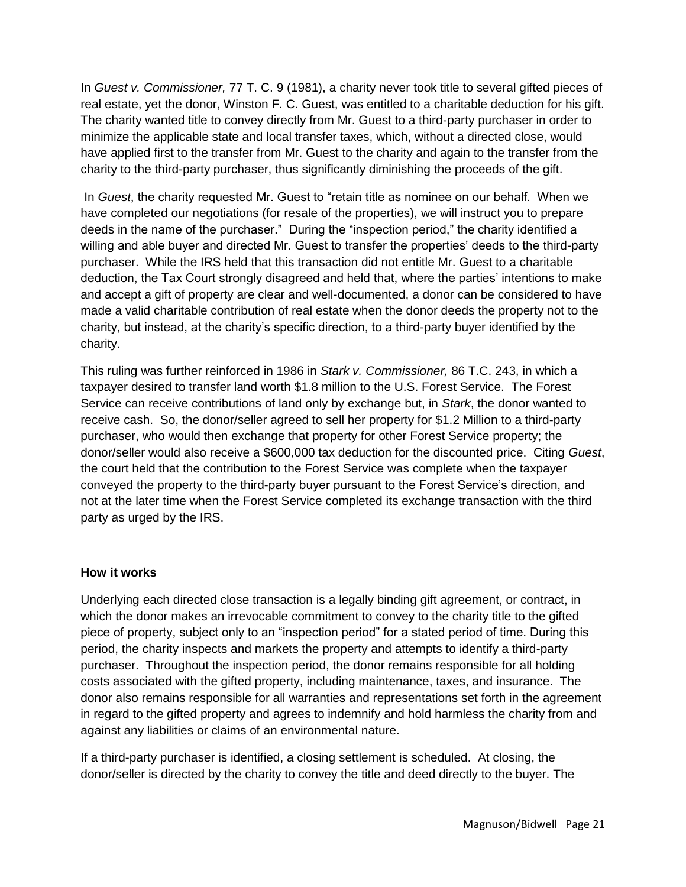In *Guest v. Commissioner,* 77 T. C. 9 (1981), a charity never took title to several gifted pieces of real estate, yet the donor, Winston F. C. Guest, was entitled to a charitable deduction for his gift. The charity wanted title to convey directly from Mr. Guest to a third-party purchaser in order to minimize the applicable state and local transfer taxes, which, without a directed close, would have applied first to the transfer from Mr. Guest to the charity and again to the transfer from the charity to the third-party purchaser, thus significantly diminishing the proceeds of the gift.

In *Guest*, the charity requested Mr. Guest to "retain title as nominee on our behalf. When we have completed our negotiations (for resale of the properties), we will instruct you to prepare deeds in the name of the purchaser." During the "inspection period," the charity identified a willing and able buyer and directed Mr. Guest to transfer the properties' deeds to the third-party purchaser. While the IRS held that this transaction did not entitle Mr. Guest to a charitable deduction, the Tax Court strongly disagreed and held that, where the parties' intentions to make and accept a gift of property are clear and well-documented, a donor can be considered to have made a valid charitable contribution of real estate when the donor deeds the property not to the charity, but instead, at the charity's specific direction, to a third-party buyer identified by the charity.

This ruling was further reinforced in 1986 in *Stark v. Commissioner,* 86 T.C. 243, in which a taxpayer desired to transfer land worth \$1.8 million to the U.S. Forest Service. The Forest Service can receive contributions of land only by exchange but, in *Stark*, the donor wanted to receive cash. So, the donor/seller agreed to sell her property for \$1.2 Million to a third-party purchaser, who would then exchange that property for other Forest Service property; the donor/seller would also receive a \$600,000 tax deduction for the discounted price. Citing *Guest*, the court held that the contribution to the Forest Service was complete when the taxpayer conveyed the property to the third-party buyer pursuant to the Forest Service's direction, and not at the later time when the Forest Service completed its exchange transaction with the third party as urged by the IRS.

#### **How it works**

Underlying each directed close transaction is a legally binding gift agreement, or contract, in which the donor makes an irrevocable commitment to convey to the charity title to the gifted piece of property, subject only to an "inspection period" for a stated period of time. During this period, the charity inspects and markets the property and attempts to identify a third-party purchaser. Throughout the inspection period, the donor remains responsible for all holding costs associated with the gifted property, including maintenance, taxes, and insurance. The donor also remains responsible for all warranties and representations set forth in the agreement in regard to the gifted property and agrees to indemnify and hold harmless the charity from and against any liabilities or claims of an environmental nature.

If a third-party purchaser is identified, a closing settlement is scheduled. At closing, the donor/seller is directed by the charity to convey the title and deed directly to the buyer. The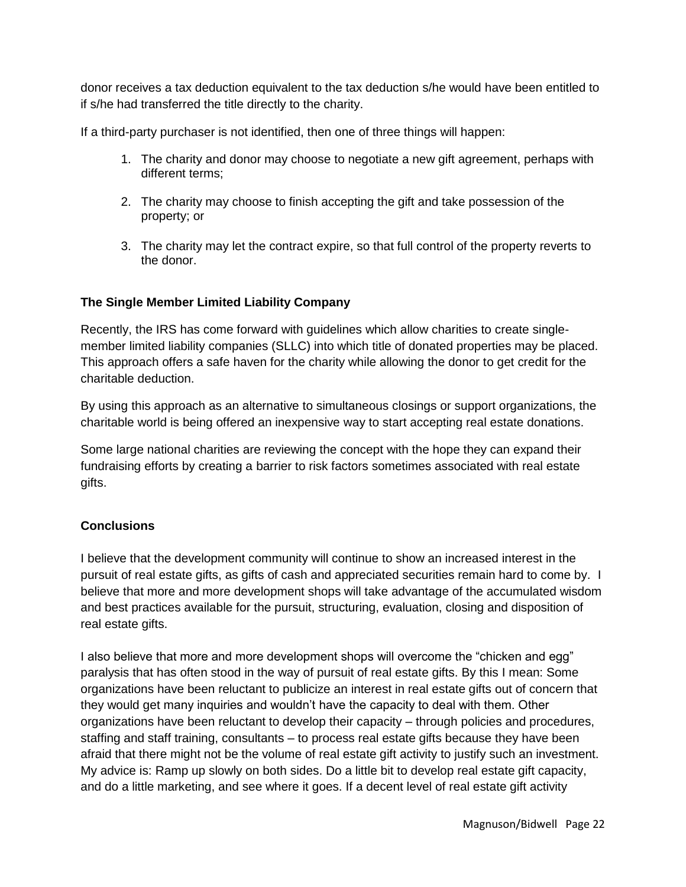donor receives a tax deduction equivalent to the tax deduction s/he would have been entitled to if s/he had transferred the title directly to the charity.

If a third-party purchaser is not identified, then one of three things will happen:

- 1. The charity and donor may choose to negotiate a new gift agreement, perhaps with different terms;
- 2. The charity may choose to finish accepting the gift and take possession of the property; or
- 3. The charity may let the contract expire, so that full control of the property reverts to the donor.

## **The Single Member Limited Liability Company**

Recently, the IRS has come forward with guidelines which allow charities to create singlemember limited liability companies (SLLC) into which title of donated properties may be placed. This approach offers a safe haven for the charity while allowing the donor to get credit for the charitable deduction.

By using this approach as an alternative to simultaneous closings or support organizations, the charitable world is being offered an inexpensive way to start accepting real estate donations.

Some large national charities are reviewing the concept with the hope they can expand their fundraising efforts by creating a barrier to risk factors sometimes associated with real estate gifts.

## **Conclusions**

I believe that the development community will continue to show an increased interest in the pursuit of real estate gifts, as gifts of cash and appreciated securities remain hard to come by. I believe that more and more development shops will take advantage of the accumulated wisdom and best practices available for the pursuit, structuring, evaluation, closing and disposition of real estate gifts.

I also believe that more and more development shops will overcome the "chicken and egg" paralysis that has often stood in the way of pursuit of real estate gifts. By this I mean: Some organizations have been reluctant to publicize an interest in real estate gifts out of concern that they would get many inquiries and wouldn't have the capacity to deal with them. Other organizations have been reluctant to develop their capacity – through policies and procedures, staffing and staff training, consultants – to process real estate gifts because they have been afraid that there might not be the volume of real estate gift activity to justify such an investment. My advice is: Ramp up slowly on both sides. Do a little bit to develop real estate gift capacity, and do a little marketing, and see where it goes. If a decent level of real estate gift activity